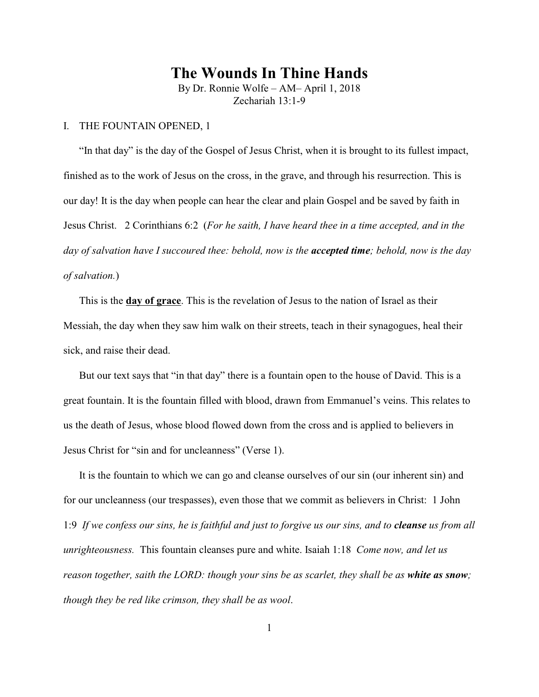## **The Wounds In Thine Hands**

By Dr. Ronnie Wolfe – AM– April 1, 2018 Zechariah 13:1-9

## I. THE FOUNTAIN OPENED, 1

"In that day" is the day of the Gospel of Jesus Christ, when it is brought to its fullest impact, finished as to the work of Jesus on the cross, in the grave, and through his resurrection. This is our day! It is the day when people can hear the clear and plain Gospel and be saved by faith in Jesus Christ. 2 Corinthians 6:2 (*For he saith, I have heard thee in a time accepted, and in the day of salvation have I succoured thee: behold, now is the accepted time; behold, now is the day of salvation.*)

This is the **day of grace**. This is the revelation of Jesus to the nation of Israel as their Messiah, the day when they saw him walk on their streets, teach in their synagogues, heal their sick, and raise their dead.

But our text says that "in that day" there is a fountain open to the house of David. This is a great fountain. It is the fountain filled with blood, drawn from Emmanuel's veins. This relates to us the death of Jesus, whose blood flowed down from the cross and is applied to believers in Jesus Christ for "sin and for uncleanness" (Verse 1).

It is the fountain to which we can go and cleanse ourselves of our sin (our inherent sin) and for our uncleanness (our trespasses), even those that we commit as believers in Christ: 1 John 1:9 If we confess our sins, he is faithful and just to forgive us our sins, and to *cleanse* us from all *unrighteousness.* This fountain cleanses pure and white. Isaiah 1:18 *Come now, and let us reason together, saith the LORD: though your sins be as scarlet, they shall be as white as snow; though they be red like crimson, they shall be as wool*.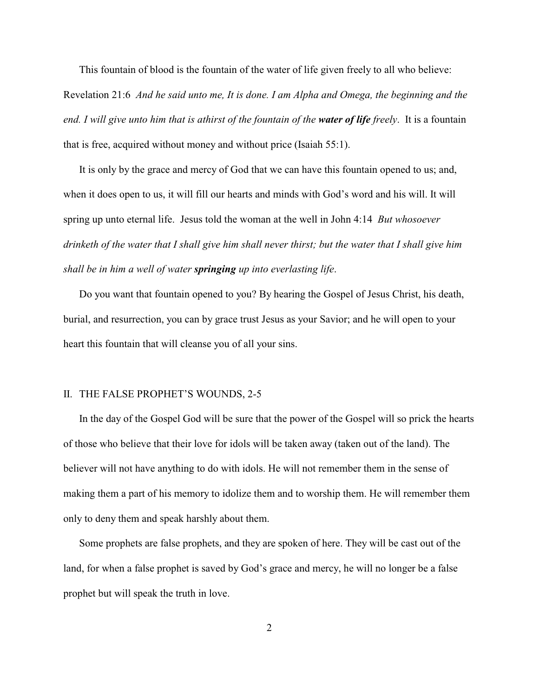This fountain of blood is the fountain of the water of life given freely to all who believe: Revelation 21:6 *And he said unto me, It is done. I am Alpha and Omega, the beginning and the end. I will give unto him that is athirst of the fountain of the water of life freely*. It is a fountain that is free, acquired without money and without price (Isaiah 55:1).

It is only by the grace and mercy of God that we can have this fountain opened to us; and, when it does open to us, it will fill our hearts and minds with God's word and his will. It will spring up unto eternal life. Jesus told the woman at the well in John 4:14 *But whosoever drinketh of the water that I shall give him shall never thirst; but the water that I shall give him shall be in him a well of water springing up into everlasting life*.

Do you want that fountain opened to you? By hearing the Gospel of Jesus Christ, his death, burial, and resurrection, you can by grace trust Jesus as your Savior; and he will open to your heart this fountain that will cleanse you of all your sins.

## II. THE FALSE PROPHET'S WOUNDS, 2-5

In the day of the Gospel God will be sure that the power of the Gospel will so prick the hearts of those who believe that their love for idols will be taken away (taken out of the land). The believer will not have anything to do with idols. He will not remember them in the sense of making them a part of his memory to idolize them and to worship them. He will remember them only to deny them and speak harshly about them.

Some prophets are false prophets, and they are spoken of here. They will be cast out of the land, for when a false prophet is saved by God's grace and mercy, he will no longer be a false prophet but will speak the truth in love.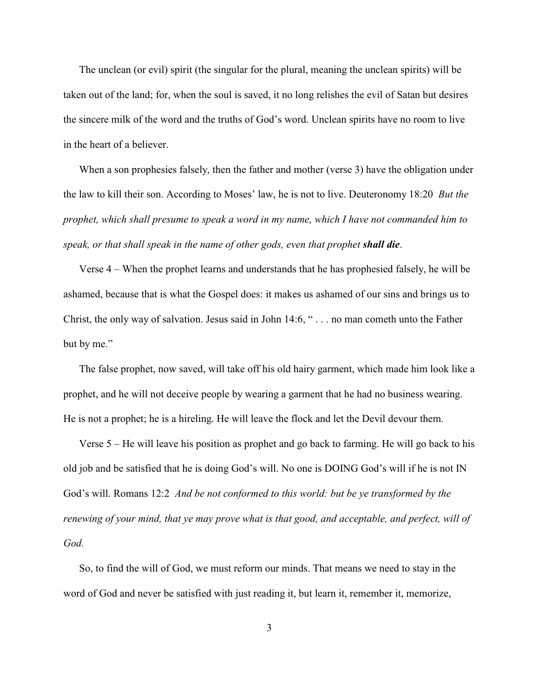The unclean (or evil) spirit (the singular for the plural, meaning the unclean spirits) will be taken out of the land; for, when the soul is saved, it no long relishes the evil of Satan but desires the sincere milk of the word and the truths of God's word. Unclean spirits have no room to live in the heart of a believer.

When a son prophesies falsely, then the father and mother (verse 3) have the obligation under the law to kill their son. According to Moses' law, he is not to live. Deuteronomy 18:20 *But the prophet, which shall presume to speak a word in my name, which I have not commanded him to speak, or that shall speak in the name of other gods, even that prophet shall die*.

Verse 4 – When the prophet learns and understands that he has prophesied falsely, he will be ashamed, because that is what the Gospel does: it makes us ashamed of our sins and brings us to Christ, the only way of salvation. Jesus said in John 14:6, " . . . no man cometh unto the Father but by me."

The false prophet, now saved, will take off his old hairy garment, which made him look like a prophet, and he will not deceive people by wearing a garment that he had no business wearing. He is not a prophet; he is a hireling. He will leave the flock and let the Devil devour them.

Verse 5 – He will leave his position as prophet and go back to farming. He will go back to his old job and be satisfied that he is doing God's will. No one is DOING God's will if he is not IN God's will. Romans 12:2 *And be not conformed to this world: but be ye transformed by the renewing of your mind, that ye may prove what is that good, and acceptable, and perfect, will of God.*

So, to find the will of God, we must reform our minds. That means we need to stay in the word of God and never be satisfied with just reading it, but learn it, remember it, memorize,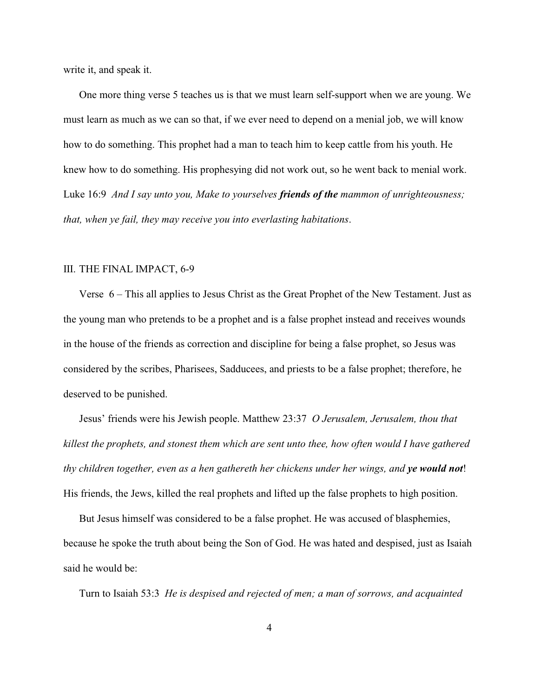write it, and speak it.

One more thing verse 5 teaches us is that we must learn self-support when we are young. We must learn as much as we can so that, if we ever need to depend on a menial job, we will know how to do something. This prophet had a man to teach him to keep cattle from his youth. He knew how to do something. His prophesying did not work out, so he went back to menial work. Luke 16:9 *And I say unto you, Make to yourselves friends of the mammon of unrighteousness; that, when ye fail, they may receive you into everlasting habitations*.

## III. THE FINAL IMPACT, 6-9

Verse 6 – This all applies to Jesus Christ as the Great Prophet of the New Testament. Just as the young man who pretends to be a prophet and is a false prophet instead and receives wounds in the house of the friends as correction and discipline for being a false prophet, so Jesus was considered by the scribes, Pharisees, Sadducees, and priests to be a false prophet; therefore, he deserved to be punished.

Jesus' friends were his Jewish people. Matthew 23:37 *O Jerusalem, Jerusalem, thou that killest the prophets, and stonest them which are sent unto thee, how often would I have gathered thy children together, even as a hen gathereth her chickens under her wings, and ye would not*! His friends, the Jews, killed the real prophets and lifted up the false prophets to high position.

But Jesus himself was considered to be a false prophet. He was accused of blasphemies, because he spoke the truth about being the Son of God. He was hated and despised, just as Isaiah said he would be:

Turn to Isaiah 53:3 *He is despised and rejected of men; a man of sorrows, and acquainted*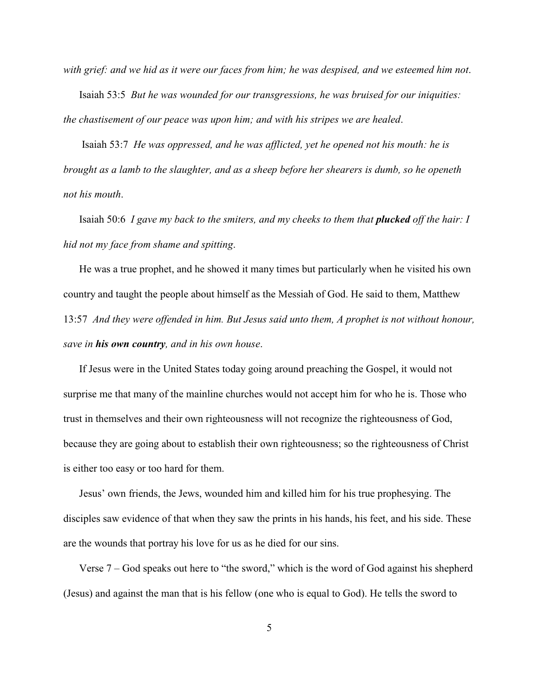*with grief: and we hid as it were our faces from him; he was despised, and we esteemed him not*. Isaiah 53:5 *But he was wounded for our transgressions, he was bruised for our iniquities: the chastisement of our peace was upon him; and with his stripes we are healed*.

 Isaiah 53:7 *He was oppressed, and he was afflicted, yet he opened not his mouth: he is brought as a lamb to the slaughter, and as a sheep before her shearers is dumb, so he openeth not his mouth*.

Isaiah 50:6 *I gave my back to the smiters, and my cheeks to them that plucked off the hair: I hid not my face from shame and spitting*.

He was a true prophet, and he showed it many times but particularly when he visited his own country and taught the people about himself as the Messiah of God. He said to them, Matthew 13:57 *And they were offended in him. But Jesus said unto them, A prophet is not without honour, save in his own country, and in his own house*.

If Jesus were in the United States today going around preaching the Gospel, it would not surprise me that many of the mainline churches would not accept him for who he is. Those who trust in themselves and their own righteousness will not recognize the righteousness of God, because they are going about to establish their own righteousness; so the righteousness of Christ is either too easy or too hard for them.

Jesus' own friends, the Jews, wounded him and killed him for his true prophesying. The disciples saw evidence of that when they saw the prints in his hands, his feet, and his side. These are the wounds that portray his love for us as he died for our sins.

Verse 7 – God speaks out here to "the sword," which is the word of God against his shepherd (Jesus) and against the man that is his fellow (one who is equal to God). He tells the sword to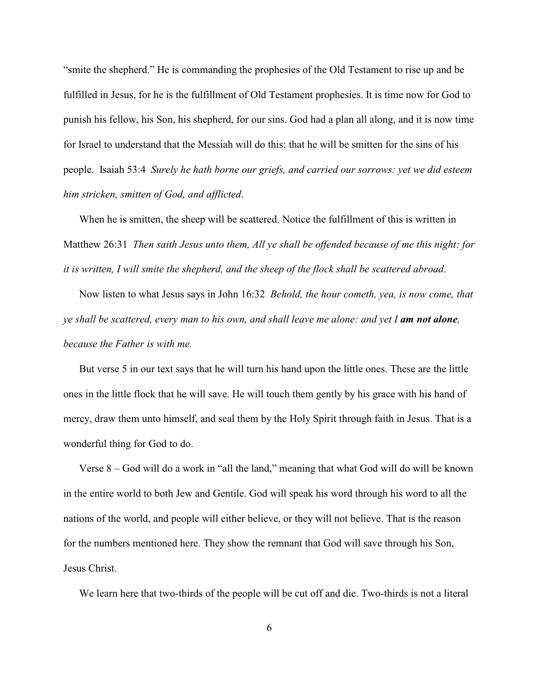"smite the shepherd." He is commanding the prophesies of the Old Testament to rise up and be fulfilled in Jesus, for he is the fulfillment of Old Testament prophesies. It is time now for God to punish his fellow, his Son, his shepherd, for our sins. God had a plan all along, and it is now time for Israel to understand that the Messiah will do this: that he will be smitten for the sins of his people. Isaiah 53:4 *Surely he hath borne our griefs, and carried our sorrows: yet we did esteem him stricken, smitten of God, and afflicted*.

When he is smitten, the sheep will be scattered. Notice the fulfillment of this is written in Matthew 26:31 *Then saith Jesus unto them, All ye shall be offended because of me this night: for it is written, I will smite the shepherd, and the sheep of the flock shall be scattered abroad*.

Now listen to what Jesus says in John 16:32 *Behold, the hour cometh, yea, is now come, that ye shall be scattered, every man to his own, and shall leave me alone: and yet I am not alone, because the Father is with me.*

But verse 5 in our text says that he will turn his hand upon the little ones. These are the little ones in the little flock that he will save. He will touch them gently by his grace with his hand of mercy, draw them unto himself, and seal them by the Holy Spirit through faith in Jesus. That is a wonderful thing for God to do.

Verse 8 – God will do a work in "all the land," meaning that what God will do will be known in the entire world to both Jew and Gentile. God will speak his word through his word to all the nations of the world, and people will either believe, or they will not believe. That is the reason for the numbers mentioned here. They show the remnant that God will save through his Son, Jesus Christ.

We learn here that two-thirds of the people will be cut off and die. Two-thirds is not a literal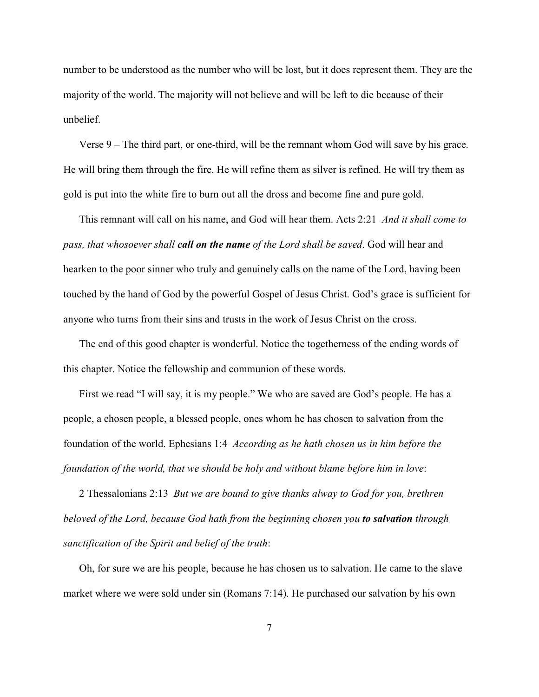number to be understood as the number who will be lost, but it does represent them. They are the majority of the world. The majority will not believe and will be left to die because of their unbelief.

Verse 9 – The third part, or one-third, will be the remnant whom God will save by his grace. He will bring them through the fire. He will refine them as silver is refined. He will try them as gold is put into the white fire to burn out all the dross and become fine and pure gold.

This remnant will call on his name, and God will hear them. Acts 2:21 *And it shall come to pass, that whosoever shall call on the name of the Lord shall be saved*. God will hear and hearken to the poor sinner who truly and genuinely calls on the name of the Lord, having been touched by the hand of God by the powerful Gospel of Jesus Christ. God's grace is sufficient for anyone who turns from their sins and trusts in the work of Jesus Christ on the cross.

The end of this good chapter is wonderful. Notice the togetherness of the ending words of this chapter. Notice the fellowship and communion of these words.

First we read "I will say, it is my people." We who are saved are God's people. He has a people, a chosen people, a blessed people, ones whom he has chosen to salvation from the foundation of the world. Ephesians 1:4 *According as he hath chosen us in him before the foundation of the world, that we should be holy and without blame before him in love*:

2 Thessalonians 2:13 *But we are bound to give thanks alway to God for you, brethren beloved of the Lord, because God hath from the beginning chosen you to salvation through sanctification of the Spirit and belief of the truth*:

Oh, for sure we are his people, because he has chosen us to salvation. He came to the slave market where we were sold under sin (Romans 7:14). He purchased our salvation by his own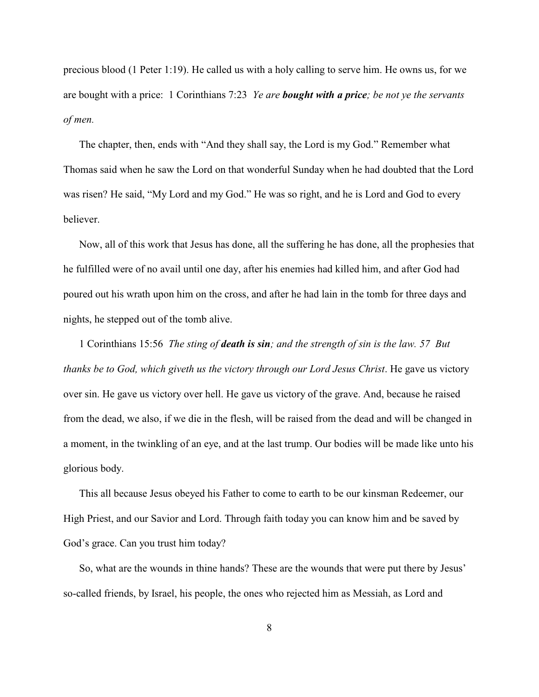precious blood (1 Peter 1:19). He called us with a holy calling to serve him. He owns us, for we are bought with a price: 1 Corinthians 7:23 *Ye are bought with a price; be not ye the servants of men.*

The chapter, then, ends with "And they shall say, the Lord is my God." Remember what Thomas said when he saw the Lord on that wonderful Sunday when he had doubted that the Lord was risen? He said, "My Lord and my God." He was so right, and he is Lord and God to every believer.

Now, all of this work that Jesus has done, all the suffering he has done, all the prophesies that he fulfilled were of no avail until one day, after his enemies had killed him, and after God had poured out his wrath upon him on the cross, and after he had lain in the tomb for three days and nights, he stepped out of the tomb alive.

1 Corinthians 15:56 *The sting of death is sin; and the strength of sin is the law. 57 But thanks be to God, which giveth us the victory through our Lord Jesus Christ*. He gave us victory over sin. He gave us victory over hell. He gave us victory of the grave. And, because he raised from the dead, we also, if we die in the flesh, will be raised from the dead and will be changed in a moment, in the twinkling of an eye, and at the last trump. Our bodies will be made like unto his glorious body.

This all because Jesus obeyed his Father to come to earth to be our kinsman Redeemer, our High Priest, and our Savior and Lord. Through faith today you can know him and be saved by God's grace. Can you trust him today?

So, what are the wounds in thine hands? These are the wounds that were put there by Jesus' so-called friends, by Israel, his people, the ones who rejected him as Messiah, as Lord and